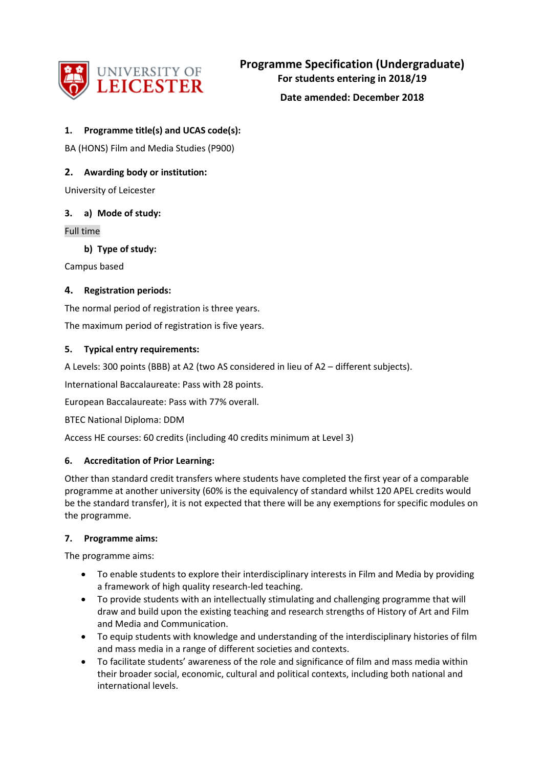

**Date amended: December 2018**

### **1. Programme title(s) and UCAS code(s):**

BA (HONS) Film and Media Studies (P900)

# **2. Awarding body or institution:**

University of Leicester

### **3. a) Mode of study:**

Full time

**b) Type of study:**

Campus based

# **4. Registration periods:**

The normal period of registration is three years.

The maximum period of registration is five years.

### **5. Typical entry requirements:**

A Levels: 300 points (BBB) at A2 (two AS considered in lieu of A2 – different subjects).

International Baccalaureate: Pass with 28 points.

European Baccalaureate: Pass with 77% overall.

BTEC National Diploma: DDM

Access HE courses: 60 credits (including 40 credits minimum at Level 3)

### **6. Accreditation of Prior Learning:**

Other than standard credit transfers where students have completed the first year of a comparable programme at another university (60% is the equivalency of standard whilst 120 APEL credits would be the standard transfer), it is not expected that there will be any exemptions for specific modules on the programme.

### **7. Programme aims:**

The programme aims:

- To enable students to explore their interdisciplinary interests in Film and Media by providing a framework of high quality research-led teaching.
- To provide students with an intellectually stimulating and challenging programme that will draw and build upon the existing teaching and research strengths of History of Art and Film and Media and Communication.
- To equip students with knowledge and understanding of the interdisciplinary histories of film and mass media in a range of different societies and contexts.
- To facilitate students' awareness of the role and significance of film and mass media within their broader social, economic, cultural and political contexts, including both national and international levels.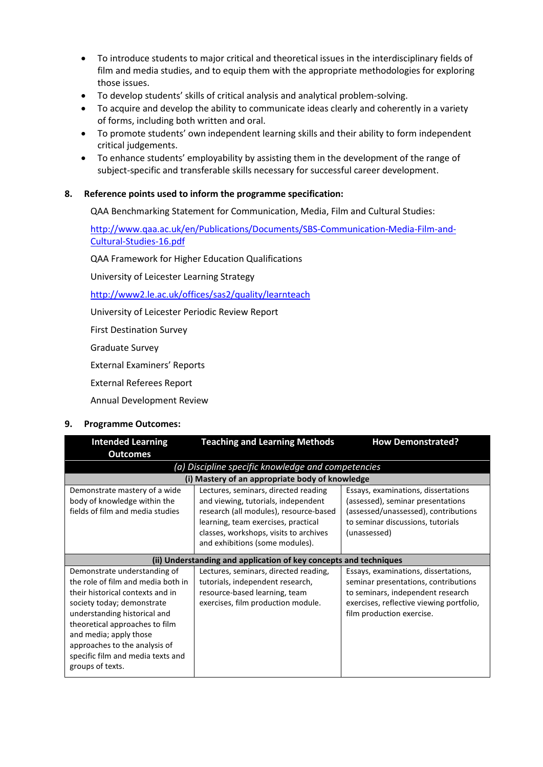- To introduce students to major critical and theoretical issues in the interdisciplinary fields of film and media studies, and to equip them with the appropriate methodologies for exploring those issues.
- To develop students' skills of critical analysis and analytical problem-solving.
- To acquire and develop the ability to communicate ideas clearly and coherently in a variety of forms, including both written and oral.
- To promote students' own independent learning skills and their ability to form independent critical judgements.
- To enhance students' employability by assisting them in the development of the range of subject-specific and transferable skills necessary for successful career development.

### **8. Reference points used to inform the programme specification:**

QAA Benchmarking Statement for Communication, Media, Film and Cultural Studies:

[http://www.qaa.ac.uk/en/Publications/Documents/SBS-Communication-Media-Film-and-](http://www.qaa.ac.uk/en/Publications/Documents/SBS-Communication-Media-Film-and-Cultural-Studies-16.pdf)[Cultural-Studies-16.pdf](http://www.qaa.ac.uk/en/Publications/Documents/SBS-Communication-Media-Film-and-Cultural-Studies-16.pdf)

QAA Framework for Higher Education Qualifications

University of Leicester Learning Strategy

<http://www2.le.ac.uk/offices/sas2/quality/learnteach>

University of Leicester Periodic Review Report

First Destination Survey

Graduate Survey

External Examiners' Reports

External Referees Report

Annual Development Review

#### **9. Programme Outcomes:**

| <b>Intended Learning</b>                                                                                                                                                                                                                                                                                                   | <b>Teaching and Learning Methods</b>                                                                                                                                                                                                                                                                                                                                                                               | <b>How Demonstrated?</b>                                                                                                                                                                   |  |  |
|----------------------------------------------------------------------------------------------------------------------------------------------------------------------------------------------------------------------------------------------------------------------------------------------------------------------------|--------------------------------------------------------------------------------------------------------------------------------------------------------------------------------------------------------------------------------------------------------------------------------------------------------------------------------------------------------------------------------------------------------------------|--------------------------------------------------------------------------------------------------------------------------------------------------------------------------------------------|--|--|
| <b>Outcomes</b>                                                                                                                                                                                                                                                                                                            |                                                                                                                                                                                                                                                                                                                                                                                                                    |                                                                                                                                                                                            |  |  |
| (a) Discipline specific knowledge and competencies                                                                                                                                                                                                                                                                         |                                                                                                                                                                                                                                                                                                                                                                                                                    |                                                                                                                                                                                            |  |  |
|                                                                                                                                                                                                                                                                                                                            | (i) Mastery of an appropriate body of knowledge                                                                                                                                                                                                                                                                                                                                                                    |                                                                                                                                                                                            |  |  |
| Demonstrate mastery of a wide<br>body of knowledge within the<br>fields of film and media studies                                                                                                                                                                                                                          | Lectures, seminars, directed reading<br>Essays, examinations, dissertations<br>(assessed), seminar presentations<br>and viewing, tutorials, independent<br>research (all modules), resource-based<br>(assessed/unassessed), contributions<br>to seminar discussions, tutorials<br>learning, team exercises, practical<br>classes, workshops, visits to archives<br>(unassessed)<br>and exhibitions (some modules). |                                                                                                                                                                                            |  |  |
|                                                                                                                                                                                                                                                                                                                            | (ii) Understanding and application of key concepts and techniques                                                                                                                                                                                                                                                                                                                                                  |                                                                                                                                                                                            |  |  |
| Demonstrate understanding of<br>the role of film and media both in<br>their historical contexts and in<br>society today; demonstrate<br>understanding historical and<br>theoretical approaches to film<br>and media; apply those<br>approaches to the analysis of<br>specific film and media texts and<br>groups of texts. | Lectures, seminars, directed reading,<br>tutorials, independent research,<br>resource-based learning, team<br>exercises, film production module.                                                                                                                                                                                                                                                                   | Essays, examinations, dissertations,<br>seminar presentations, contributions<br>to seminars, independent research<br>exercises, reflective viewing portfolio,<br>film production exercise. |  |  |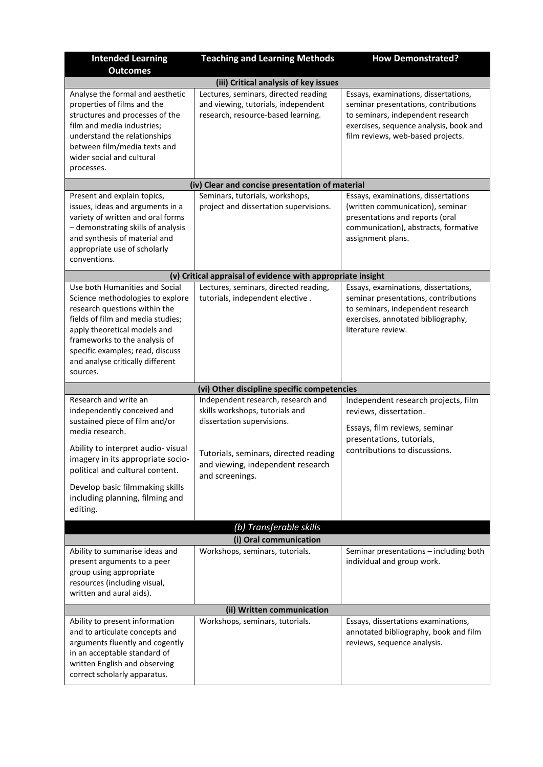| <b>Intended Learning</b><br><b>Outcomes</b>                                                                                                                                                                                                                                                   | <b>Teaching and Learning Methods</b>                                                                                                                                                                 | <b>How Demonstrated?</b>                                                                                                                                                                         |  |  |
|-----------------------------------------------------------------------------------------------------------------------------------------------------------------------------------------------------------------------------------------------------------------------------------------------|------------------------------------------------------------------------------------------------------------------------------------------------------------------------------------------------------|--------------------------------------------------------------------------------------------------------------------------------------------------------------------------------------------------|--|--|
|                                                                                                                                                                                                                                                                                               | (iii) Critical analysis of key issues                                                                                                                                                                |                                                                                                                                                                                                  |  |  |
| Analyse the formal and aesthetic<br>properties of films and the<br>structures and processes of the<br>film and media industries;<br>understand the relationships<br>between film/media texts and<br>wider social and cultural<br>processes.                                                   | Lectures, seminars, directed reading<br>and viewing, tutorials, independent<br>research, resource-based learning.                                                                                    | Essays, examinations, dissertations,<br>seminar presentations, contributions<br>to seminars, independent research<br>exercises, sequence analysis, book and<br>film reviews, web-based projects. |  |  |
|                                                                                                                                                                                                                                                                                               | (iv) Clear and concise presentation of material                                                                                                                                                      |                                                                                                                                                                                                  |  |  |
| Present and explain topics,<br>issues, ideas and arguments in a<br>variety of written and oral forms<br>- demonstrating skills of analysis<br>and synthesis of material and<br>appropriate use of scholarly<br>conventions.                                                                   | Seminars, tutorials, workshops,<br>project and dissertation supervisions.                                                                                                                            | Essays, examinations, dissertations<br>(written communication), seminar<br>presentations and reports (oral<br>communication), abstracts, formative<br>assignment plans.                          |  |  |
|                                                                                                                                                                                                                                                                                               | (v) Critical appraisal of evidence with appropriate insight                                                                                                                                          |                                                                                                                                                                                                  |  |  |
| Use both Humanities and Social<br>Science methodologies to explore<br>research questions within the<br>fields of film and media studies;<br>apply theoretical models and<br>frameworks to the analysis of<br>specific examples; read, discuss<br>and analyse critically different<br>sources. | Lectures, seminars, directed reading,<br>tutorials, independent elective.                                                                                                                            | Essays, examinations, dissertations,<br>seminar presentations, contributions<br>to seminars, independent research<br>exercises, annotated bibliography,<br>literature review.                    |  |  |
|                                                                                                                                                                                                                                                                                               | (vi) Other discipline specific competencies                                                                                                                                                          |                                                                                                                                                                                                  |  |  |
| Research and write an<br>independently conceived and<br>sustained piece of film and/or<br>media research.<br>Ability to interpret audio-visual<br>imagery in its appropriate socio-<br>political and cultural content.                                                                        | Independent research, research and<br>skills workshops, tutorials and<br>dissertation supervisions.<br>Tutorials, seminars, directed reading<br>and viewing, independent research<br>and screenings. | Independent research projects, film<br>reviews, dissertation.<br>Essays, film reviews, seminar<br>presentations, tutorials,<br>contributions to discussions.                                     |  |  |
| Develop basic filmmaking skills<br>including planning, filming and<br>editing.                                                                                                                                                                                                                |                                                                                                                                                                                                      |                                                                                                                                                                                                  |  |  |
| (b) Transferable skills                                                                                                                                                                                                                                                                       |                                                                                                                                                                                                      |                                                                                                                                                                                                  |  |  |
|                                                                                                                                                                                                                                                                                               | (i) Oral communication                                                                                                                                                                               |                                                                                                                                                                                                  |  |  |
| Ability to summarise ideas and<br>present arguments to a peer<br>group using appropriate<br>resources (including visual,<br>written and aural aids).                                                                                                                                          | Workshops, seminars, tutorials.                                                                                                                                                                      | Seminar presentations - including both<br>individual and group work.                                                                                                                             |  |  |
| (ii) Written communication                                                                                                                                                                                                                                                                    |                                                                                                                                                                                                      |                                                                                                                                                                                                  |  |  |
| Ability to present information<br>and to articulate concepts and<br>arguments fluently and cogently<br>in an acceptable standard of<br>written English and observing<br>correct scholarly apparatus.                                                                                          | Workshops, seminars, tutorials.                                                                                                                                                                      | Essays, dissertations examinations,<br>annotated bibliography, book and film<br>reviews, sequence analysis.                                                                                      |  |  |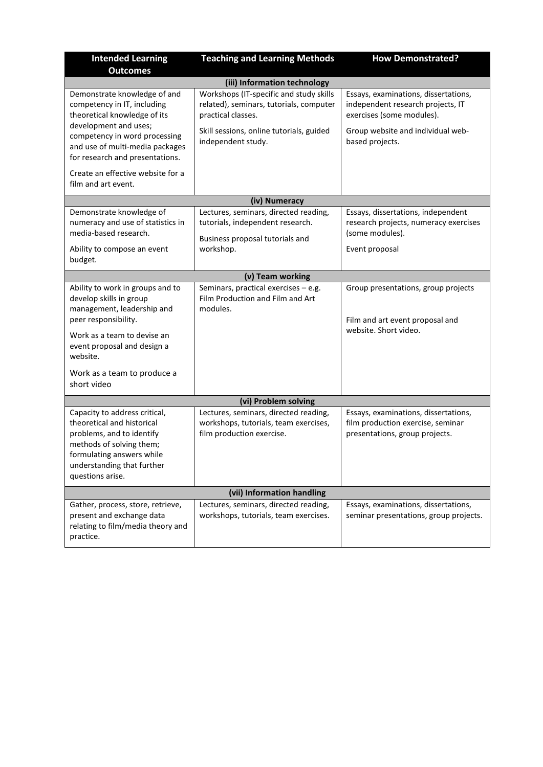| <b>Intended Learning</b>                                                                                                                                                                            | <b>Teaching and Learning Methods</b>                                                                                                                                       | <b>How Demonstrated?</b>                                                                                                                                       |  |  |
|-----------------------------------------------------------------------------------------------------------------------------------------------------------------------------------------------------|----------------------------------------------------------------------------------------------------------------------------------------------------------------------------|----------------------------------------------------------------------------------------------------------------------------------------------------------------|--|--|
| <b>Outcomes</b>                                                                                                                                                                                     |                                                                                                                                                                            |                                                                                                                                                                |  |  |
|                                                                                                                                                                                                     | (iii) Information technology                                                                                                                                               |                                                                                                                                                                |  |  |
| Demonstrate knowledge of and<br>competency in IT, including<br>theoretical knowledge of its<br>development and uses;<br>competency in word processing                                               | Workshops (IT-specific and study skills<br>related), seminars, tutorials, computer<br>practical classes.<br>Skill sessions, online tutorials, guided<br>independent study. | Essays, examinations, dissertations,<br>independent research projects, IT<br>exercises (some modules).<br>Group website and individual web-<br>based projects. |  |  |
| and use of multi-media packages<br>for research and presentations.                                                                                                                                  |                                                                                                                                                                            |                                                                                                                                                                |  |  |
| Create an effective website for a<br>film and art event.                                                                                                                                            |                                                                                                                                                                            |                                                                                                                                                                |  |  |
|                                                                                                                                                                                                     | (iv) Numeracy                                                                                                                                                              |                                                                                                                                                                |  |  |
| Demonstrate knowledge of<br>numeracy and use of statistics in<br>media-based research.                                                                                                              | Lectures, seminars, directed reading,<br>tutorials, independent research.<br>Business proposal tutorials and<br>workshop.                                                  | Essays, dissertations, independent<br>research projects, numeracy exercises<br>(some modules).<br>Event proposal                                               |  |  |
| Ability to compose an event<br>budget.                                                                                                                                                              |                                                                                                                                                                            |                                                                                                                                                                |  |  |
| (v) Team working                                                                                                                                                                                    |                                                                                                                                                                            |                                                                                                                                                                |  |  |
| Ability to work in groups and to<br>develop skills in group<br>management, leadership and<br>peer responsibility.                                                                                   | Seminars, practical exercises - e.g.<br>Film Production and Film and Art<br>modules.                                                                                       | Group presentations, group projects<br>Film and art event proposal and                                                                                         |  |  |
| Work as a team to devise an<br>event proposal and design a<br>website.                                                                                                                              |                                                                                                                                                                            | website. Short video.                                                                                                                                          |  |  |
| Work as a team to produce a<br>short video                                                                                                                                                          |                                                                                                                                                                            |                                                                                                                                                                |  |  |
|                                                                                                                                                                                                     | (vi) Problem solving                                                                                                                                                       |                                                                                                                                                                |  |  |
| Capacity to address critical,<br>theoretical and historical<br>problems, and to identify<br>methods of solving them;<br>formulating answers while<br>understanding that further<br>questions arise. | Lectures, seminars, directed reading,<br>workshops, tutorials, team exercises,<br>film production exercise.                                                                | Essays, examinations, dissertations,<br>film production exercise, seminar<br>presentations, group projects.                                                    |  |  |
| (vii) Information handling                                                                                                                                                                          |                                                                                                                                                                            |                                                                                                                                                                |  |  |
| Gather, process, store, retrieve,<br>present and exchange data<br>relating to film/media theory and<br>practice.                                                                                    | Lectures, seminars, directed reading,<br>workshops, tutorials, team exercises.                                                                                             | Essays, examinations, dissertations,<br>seminar presentations, group projects.                                                                                 |  |  |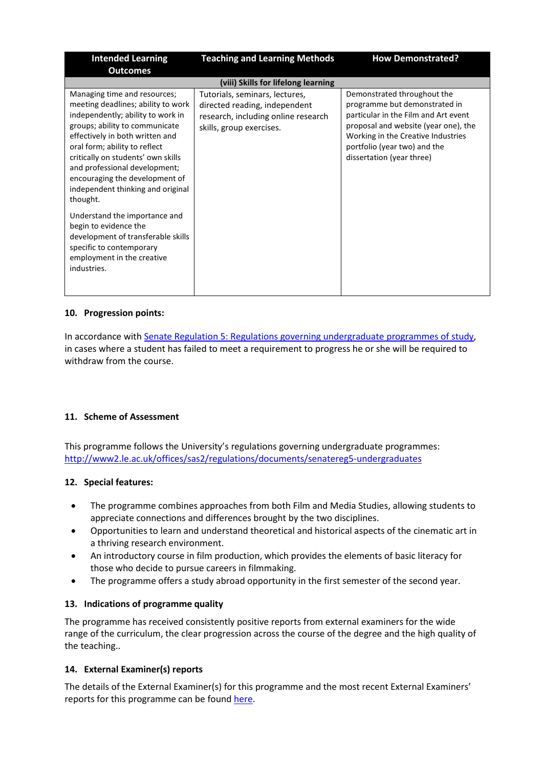| <b>Intended Learning</b>                                                                                                                                                                                                                                                                                                                                                                                                                                                                                                                         | <b>Teaching and Learning Methods</b>                                                                                               | <b>How Demonstrated?</b>                                                                                                                                                                                                                        |
|--------------------------------------------------------------------------------------------------------------------------------------------------------------------------------------------------------------------------------------------------------------------------------------------------------------------------------------------------------------------------------------------------------------------------------------------------------------------------------------------------------------------------------------------------|------------------------------------------------------------------------------------------------------------------------------------|-------------------------------------------------------------------------------------------------------------------------------------------------------------------------------------------------------------------------------------------------|
| <b>Outcomes</b>                                                                                                                                                                                                                                                                                                                                                                                                                                                                                                                                  |                                                                                                                                    |                                                                                                                                                                                                                                                 |
|                                                                                                                                                                                                                                                                                                                                                                                                                                                                                                                                                  | (viii) Skills for lifelong learning                                                                                                |                                                                                                                                                                                                                                                 |
| Managing time and resources;<br>meeting deadlines; ability to work<br>independently; ability to work in<br>groups; ability to communicate<br>effectively in both written and<br>oral form; ability to reflect<br>critically on students' own skills<br>and professional development;<br>encouraging the development of<br>independent thinking and original<br>thought.<br>Understand the importance and<br>begin to evidence the<br>development of transferable skills<br>specific to contemporary<br>employment in the creative<br>industries. | Tutorials, seminars, lectures,<br>directed reading, independent<br>research, including online research<br>skills, group exercises. | Demonstrated throughout the<br>programme but demonstrated in<br>particular in the Film and Art event<br>proposal and website (year one), the<br>Working in the Creative Industries<br>portfolio (year two) and the<br>dissertation (year three) |

### **10. Progression points:**

In accordance with [Senate Regulation 5: Regulations governing undergraduate programmes of study,](https://www2.le.ac.uk/offices/sas2/regulations/documents/senatereg5-undergraduates) in cases where a student has failed to meet a requirement to progress he or she will be required to withdraw from the course.

### **11. Scheme of Assessment**

This programme follows the University's regulations governing undergraduate programmes: <http://www2.le.ac.uk/offices/sas2/regulations/documents/senatereg5-undergraduates>

### **12. Special features:**

- The programme combines approaches from both Film and Media Studies, allowing students to appreciate connections and differences brought by the two disciplines.
- Opportunities to learn and understand theoretical and historical aspects of the cinematic art in a thriving research environment.
- An introductory course in film production, which provides the elements of basic literacy for those who decide to pursue careers in filmmaking.
- The programme offers a study abroad opportunity in the first semester of the second year.

### **13. Indications of programme quality**

The programme has received consistently positive reports from external examiners for the wide range of the curriculum, the clear progression across the course of the degree and the high quality of the teaching..

### **14. External Examiner(s) reports**

The details of the External Examiner(s) for this programme and the most recent External Examiners' reports for this programme can be foun[d here.](https://exampapers.le.ac.uk/xmlui/)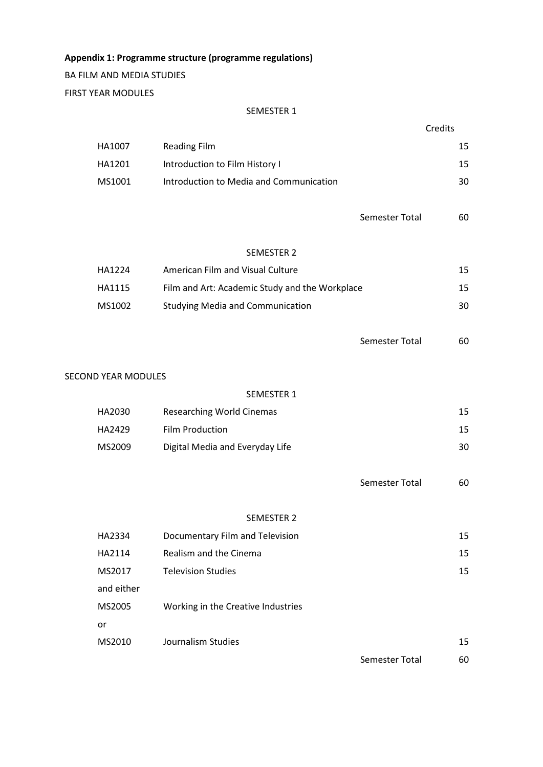**Appendix 1: Programme structure (programme regulations)**

BA FILM AND MEDIA STUDIES FIRST YEAR MODULES

### SEMESTER 1

| HA1007                     | <b>Reading Film</b>                            |                       | 15 |
|----------------------------|------------------------------------------------|-----------------------|----|
| HA1201                     | Introduction to Film History I                 |                       | 15 |
| MS1001                     | Introduction to Media and Communication        |                       | 30 |
|                            |                                                |                       |    |
|                            |                                                | Semester Total        | 60 |
|                            |                                                |                       |    |
|                            | <b>SEMESTER 2</b>                              |                       |    |
| HA1224                     | American Film and Visual Culture               |                       | 15 |
| HA1115                     | Film and Art: Academic Study and the Workplace |                       | 15 |
| MS1002                     | <b>Studying Media and Communication</b>        |                       | 30 |
|                            |                                                |                       |    |
|                            |                                                | <b>Semester Total</b> | 60 |
|                            |                                                |                       |    |
| <b>SECOND YEAR MODULES</b> |                                                |                       |    |
|                            | SEMESTER 1                                     |                       |    |
| HA2030                     | <b>Researching World Cinemas</b>               |                       | 15 |
| HA2429                     | Film Production                                |                       | 15 |
| MS2009                     | Digital Media and Everyday Life                |                       | 30 |
|                            |                                                |                       |    |
|                            |                                                | Semester Total        | 60 |
|                            |                                                |                       |    |
|                            | <b>SEMESTER 2</b>                              |                       |    |
| HA2334                     | Documentary Film and Television                |                       | 15 |
| HA2114                     | Realism and the Cinema                         |                       | 15 |
| MS2017                     | <b>Television Studies</b>                      |                       | 15 |
| and either                 |                                                |                       |    |
| MS2005                     | Working in the Creative Industries             |                       |    |
| or                         |                                                |                       |    |
| MS2010                     | Journalism Studies                             |                       | 15 |
|                            |                                                |                       |    |

Semester Total 60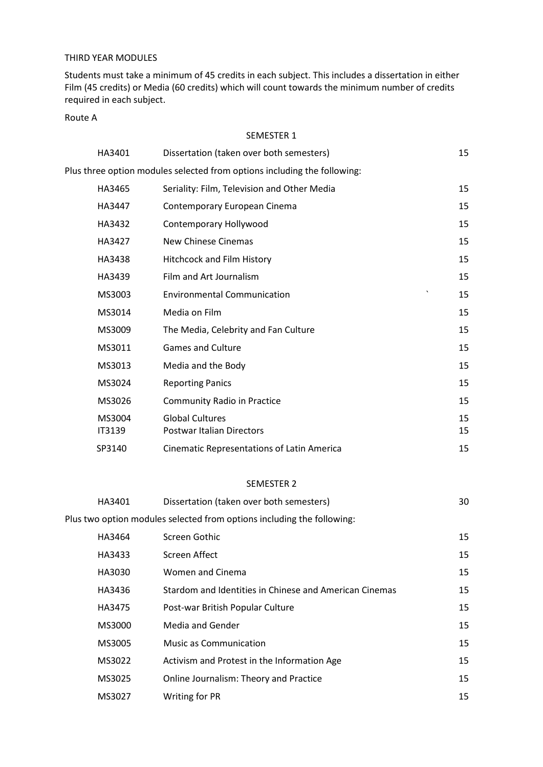### THIRD YEAR MODULES

Students must take a minimum of 45 credits in each subject. This includes a dissertation in either Film (45 credits) or Media (60 credits) which will count towards the minimum number of credits required in each subject.

### Route A

#### SEMESTER 1

| HA3401                  | Dissertation (taken over both semesters)                                 | 15       |
|-------------------------|--------------------------------------------------------------------------|----------|
|                         | Plus three option modules selected from options including the following: |          |
| HA3465                  | Seriality: Film, Television and Other Media                              | 15       |
| HA3447                  | Contemporary European Cinema                                             | 15       |
| HA3432                  | Contemporary Hollywood                                                   | 15       |
| HA3427                  | New Chinese Cinemas                                                      | 15       |
| HA3438                  | Hitchcock and Film History                                               | 15       |
| HA3439                  | Film and Art Journalism                                                  | 15       |
| MS3003                  | $\tilde{\phantom{a}}$<br><b>Environmental Communication</b>              | 15       |
| MS3014                  | Media on Film                                                            | 15       |
| MS3009                  | The Media, Celebrity and Fan Culture                                     | 15       |
| MS3011                  | <b>Games and Culture</b>                                                 | 15       |
| MS3013                  | Media and the Body                                                       | 15       |
| MS3024                  | <b>Reporting Panics</b>                                                  | 15       |
| MS3026                  | <b>Community Radio in Practice</b>                                       | 15       |
| MS3004<br><b>IT3139</b> | <b>Global Cultures</b><br><b>Postwar Italian Directors</b>               | 15<br>15 |
| SP3140                  | Cinematic Representations of Latin America                               | 15       |

### SEMESTER 2

| HA3401 | Dissertation (taken over both semesters)                               | 30 |
|--------|------------------------------------------------------------------------|----|
|        | Plus two option modules selected from options including the following: |    |
| HA3464 | Screen Gothic                                                          | 15 |
| HA3433 | Screen Affect                                                          | 15 |
| HA3030 | Women and Cinema                                                       | 15 |
| HA3436 | Stardom and Identities in Chinese and American Cinemas                 | 15 |
| HA3475 | Post-war British Popular Culture                                       | 15 |
| MS3000 | Media and Gender                                                       | 15 |
| MS3005 | <b>Music as Communication</b>                                          | 15 |
| MS3022 | Activism and Protest in the Information Age                            | 15 |
| MS3025 | Online Journalism: Theory and Practice                                 | 15 |
| MS3027 | Writing for PR                                                         | 15 |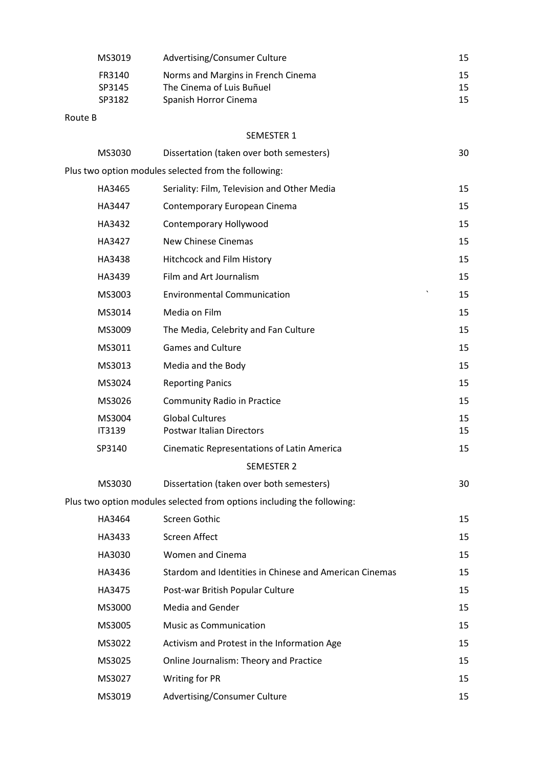| MS3019                     | Advertising/Consumer Culture                                                             | 15             |
|----------------------------|------------------------------------------------------------------------------------------|----------------|
| FR3140<br>SP3145<br>SP3182 | Norms and Margins in French Cinema<br>The Cinema of Luis Buñuel<br>Spanish Horror Cinema | 15<br>15<br>15 |
| Route B                    |                                                                                          |                |
|                            | <b>SEMESTER 1</b>                                                                        |                |
| MS3030                     | Dissertation (taken over both semesters)                                                 | 30             |
|                            | Plus two option modules selected from the following:                                     |                |
| HA3465                     | Seriality: Film, Television and Other Media                                              | 15             |
| HA3447                     | Contemporary European Cinema                                                             | 15             |
| HA3432                     | Contemporary Hollywood                                                                   | 15             |
| HA3427                     | <b>New Chinese Cinemas</b>                                                               | 15             |
| HA3438                     | Hitchcock and Film History                                                               | 15             |
| HA3439                     | Film and Art Journalism                                                                  | 15             |
| MS3003                     | <b>Environmental Communication</b>                                                       | 15             |
| MS3014                     | Media on Film                                                                            | 15             |
| MS3009                     | The Media, Celebrity and Fan Culture                                                     | 15             |
| MS3011                     | <b>Games and Culture</b>                                                                 | 15             |
| MS3013                     | Media and the Body                                                                       | 15             |
| MS3024                     | <b>Reporting Panics</b>                                                                  | 15             |
| MS3026                     | <b>Community Radio in Practice</b>                                                       | 15             |
| MS3004<br>IT3139           | <b>Global Cultures</b><br><b>Postwar Italian Directors</b>                               | 15<br>15       |
| SP3140                     | <b>Cinematic Representations of Latin America</b>                                        | 15             |
|                            | <b>SEMESTER 2</b>                                                                        |                |
| MS3030                     | Dissertation (taken over both semesters)                                                 | 30             |
|                            | Plus two option modules selected from options including the following:                   |                |
| HA3464                     | Screen Gothic                                                                            | 15             |
| HA3433                     | Screen Affect                                                                            | 15             |
| HA3030                     | <b>Women and Cinema</b>                                                                  | 15             |
| HA3436                     | Stardom and Identities in Chinese and American Cinemas                                   | 15             |
| HA3475                     | Post-war British Popular Culture                                                         | 15             |
| MS3000                     | Media and Gender                                                                         | 15             |
| MS3005                     | <b>Music as Communication</b>                                                            | 15             |
| MS3022                     | Activism and Protest in the Information Age                                              | 15             |
| MS3025                     | Online Journalism: Theory and Practice                                                   | 15             |
| MS3027                     | Writing for PR                                                                           | 15             |
| MS3019                     | Advertising/Consumer Culture                                                             | 15             |